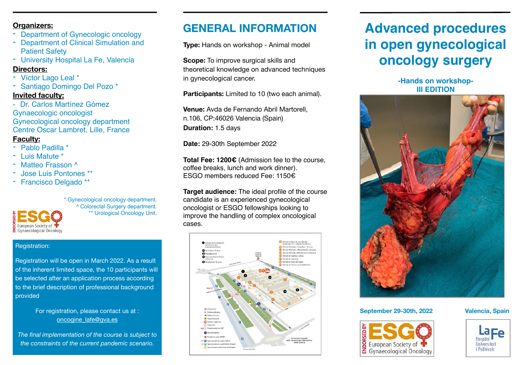#### **Organizers:**

- Department of Gynecologic oncology
- **Department of Clinical Simulation and** Patient Safety
- University Hospital La Fe, Valencia

#### **Directors:**

- Víctor Lago Leal \*
- Santiago Domingo Del Pozo \* **Invited faculty:**
- Dr. Carlos Martínez Gómez Gynaecologic oncologist Gynecological oncology department Centre Oscar Lambret, Lille, France

#### **Faculty:**

- Pablo Padilla \*
- Luis Matute \*
- Matteo Frasson ^
- Jose Luis Pontones \*\*
- Francisco Delgado \*\*



\* Gynecological oncology department. ^ Colorectal Surgery department. \*\* Urological Oncology Unit.

#### Registration:

Registration will be open in March 2022. As a result of the inherent limited space, the 10 participants will be selected after an application process according to the brief description of professional background provided

#### For registration, please contact us at : [oncogine\\_lafe@gva.es](mailto:oncogine_lafe@gva.es)

*The final implementation of the course is subject to the constraints of the current pandemic scenario.*

## **GENERAL INFORMATION**

**Type:** Hands on workshop - Animal model

**Scope:** To improve surgical skills and theoretical knowledge on advanced techniques in gynecological cancer.

**Participants:** Limited to 10 (two each animal).

**Venue:** Avda de Fernando Abril Martorell, n.106, CP:46026 Valencia (Spain) **Duration:** 1.5 days

**Date:** 29-30th September 2022

**Total Fee: 1200€** (Admission fee to the course, coffee breaks, lunch and work dinner). ESGO members reduced Fee: 1150€

**Target audience:** The ideal profile of the course candidate is an experienced gynecological oncologist or ESGO fellowships looking to improve the handling of complex oncological cases.



# **Advanced procedures in open gynecological oncology surgery**

**-Hands on workshop-III EDITION**



#### **September 29-30th, 2022 Valencia, Spain**